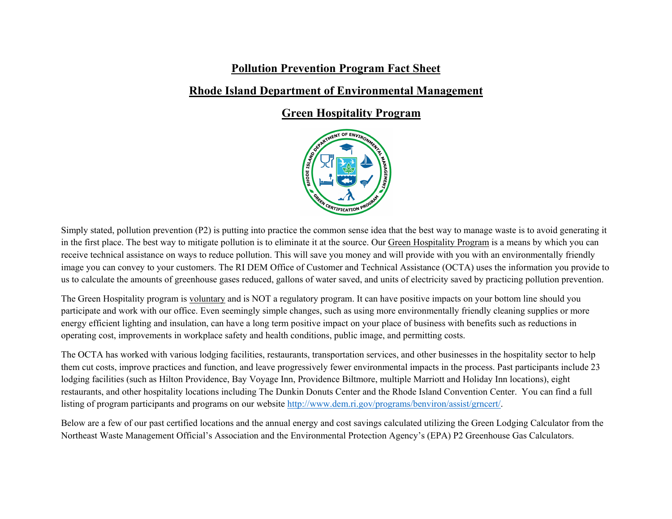## **Pollution Prevention Program Fact Sheet**

## **Rhode Island Department of Environmental Management**

## **Green Hospitality Program**



Simply stated, pollution prevention (P2) is putting into practice the common sense idea that the best way to manage waste is to avoid generating it in the first place. The best way to mitigate pollution is to eliminate it at the source. Our Green Hospitality Program is a means by which you can receive technical assistance on ways to reduce pollution. This will save you money and will provide with you with an environmentally friendly image you can convey to your customers. The RI DEM Office of Customer and Technical Assistance (OCTA) uses the information you provide to us to calculate the amounts of greenhouse gases reduced, gallons of water saved, and units of electricity saved by practicing pollution prevention.

The Green Hospitality program is voluntary and is NOT a regulatory program. It can have positive impacts on your bottom line should you participate and work with our office. Even seemingly simple changes, such as using more environmentally friendly cleaning supplies or more energy efficient lighting and insulation, can have a long term positive impact on your place of business with benefits such as reductions in operating cost, improvements in workplace safety and health conditions, public image, and permitting costs.

The OCTA has worked with various lodging facilities, restaurants, transportation services, and other businesses in the hospitality sector to help them cut costs, improve practices and function, and leave progressively fewer environmental impacts in the process. Past participants include 23 lodging facilities (such as Hilton Providence, Bay Voyage Inn, Providence Biltmore, multiple Marriott and Holiday Inn locations), eight restaurants, and other hospitality locations including The Dunkin Donuts Center and the Rhode Island Convention Center. You can find a full listing of program participants and programs on our website [http://www.dem.ri.gov/programs/benviron/assist/grncert/.](http://www.dem.ri.gov/programs/benviron/assist/grncert/)

Below are a few of our past certified locations and the annual energy and cost savings calculated utilizing the Green Lodging Calculator from the Northeast Waste Management Official's Association and the Environmental Protection Agency's (EPA) P2 Greenhouse Gas Calculators.